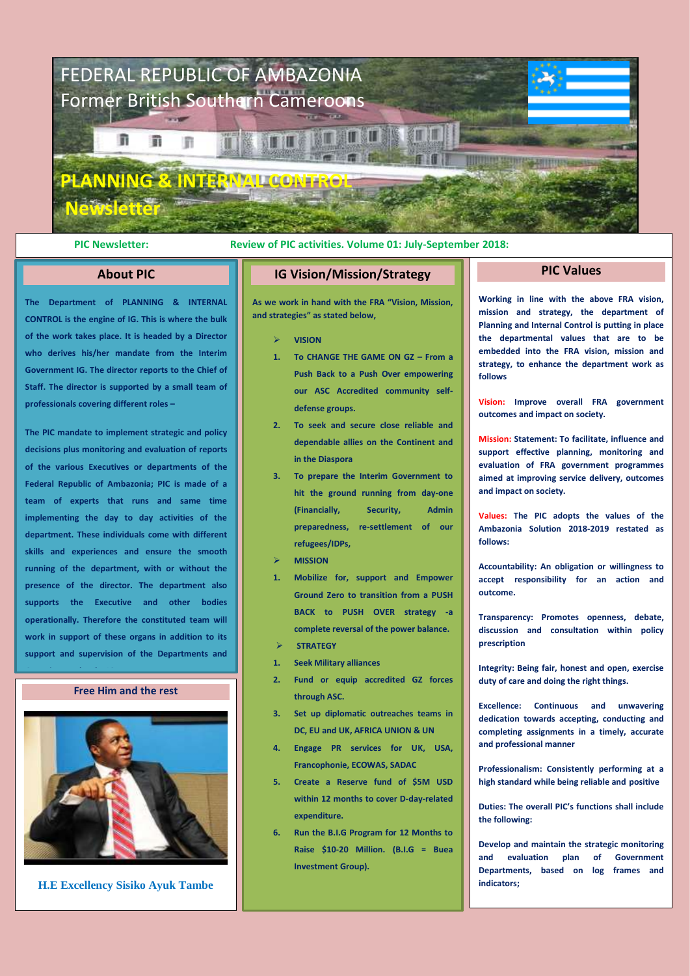

# **PIC Newsletter: Review of PIC activities. Volume 01: July-September 2018:**

# **About PIC**

**The Department of PLANNING & INTERNAL CONTROL is the engine of IG. This is where the bulk of the work takes place. It is headed by a Director who derives his/her mandate from the Interim Government IG. The director reports to the Chief of Staff. The director is supported by a small team of professionals covering different roles –**

**The PIC mandate to implement strategic and policy decisions plus monitoring and evaluation of reports of the various Executives or departments of the Federal Republic of Ambazonia; PIC is made of a team of experts that runs and same time implementing the day to day activities of the department. These individuals come with different skills and experiences and ensure the smooth running of the department, with or without the presence of the director. The department also supports the Executive and other bodies operationally. Therefore the constituted team will work in support of these organs in addition to its support and supervision of the Departments and** 

# **Free Him and the rest**

**Groupings under the IG.** 



**H.E Excellency Sisiko Ayuk Tambe**

## **IG Vision/Mission/Strategy**

**As we work in hand with the FRA "Vision, Mission, and strategies" as stated below,**

- ➢ **VISION**
- **1. To CHANGE THE GAME ON GZ – From a Push Back to a Push Over empowering our ASC Accredited community selfdefense groups.**
- **2. To seek and secure close reliable and dependable allies on the Continent and in the Diaspora**
- **3. To prepare the Interim Government to hit the ground running from day-one (Financially, Security, Admin preparedness, re-settlement of our refugees/IDPs,**
- ➢ **MISSION**
- **1. Mobilize for, support and Empower Ground Zero to transition from a PUSH BACK to PUSH OVER strategy -a complete reversal of the power balance.**
- ➢ **STRATEGY**
- **1. Seek Military alliances**
- **2. Fund or equip accredited GZ forces through ASC.**
- **3. Set up diplomatic outreaches teams in DC, EU and UK, AFRICA UNION & UN**
- **4. Engage PR services for UK, USA, Francophonie, ECOWAS, SADAC**
- **5. Create a Reserve fund of \$5M USD within 12 months to cover D-day-related expenditure.**
- **6. Run the B.I.G Program for 12 Months to Raise \$10-20 Million. (B.I.G = Buea Investment Group).**

**Working in line with the above FRA vision, mission and strategy, the department of Planning and Internal Control is putting in place the departmental values that are to be embedded into the FRA vision, mission and strategy, to enhance the department work as follows**

**PIC Values**

**Vision: Improve overall FRA government outcomes and impact on society.**

**Mission: Statement: To facilitate, influence and support effective planning, monitoring and evaluation of FRA government programmes aimed at improving service delivery, outcomes and impact on society.**

**Values: The PIC adopts the values of the Ambazonia Solution 2018-2019 restated as follows:**

**Accountability: An obligation or willingness to accept responsibility for an action and outcome.**

**Transparency: Promotes openness, debate, discussion and consultation within policy prescription**

**Integrity: Being fair, honest and open, exercise duty of care and doing the right things.**

**Excellence: Continuous and unwavering dedication towards accepting, conducting and completing assignments in a timely, accurate and professional manner**

**Professionalism: Consistently performing at a high standard while being reliable and positive**

**Duties: The overall PIC's functions shall include the following:**

**Develop and maintain the strategic monitoring and evaluation plan of Government Departments, based on log frames and indicators;**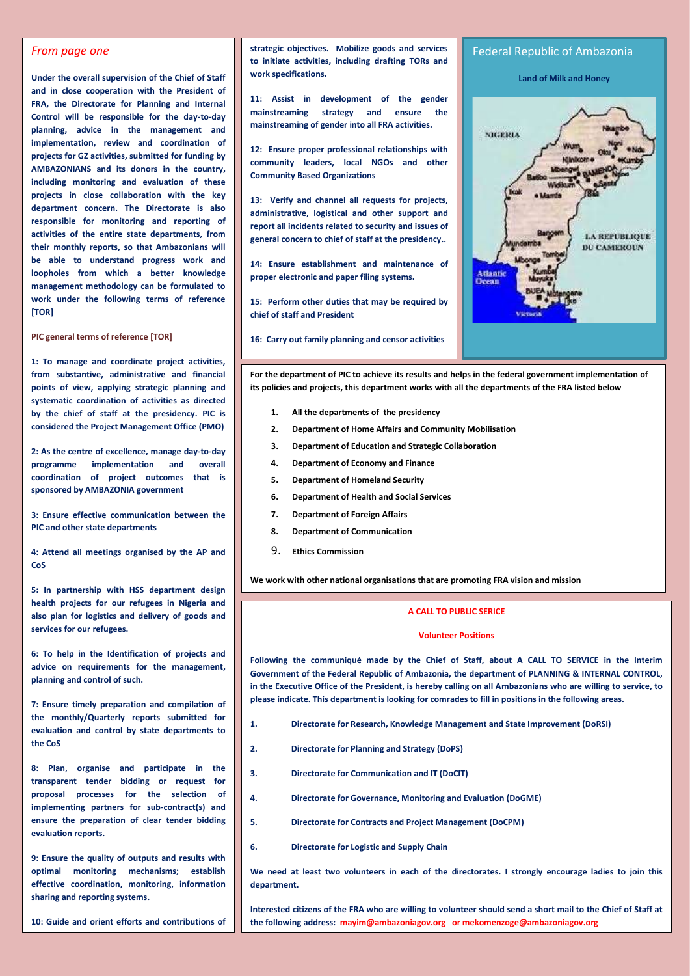## *From page one*

**Under the overall supervision of the Chief of Staff and in close cooperation with the President of FRA, the Directorate for Planning and Internal Control will be responsible for the day-to-day planning, advice in the management and implementation, review and coordination of projects for GZ activities, submitted for funding by AMBAZONIANS and its donors in the country, including monitoring and evaluation of these projects in close collaboration with the key department concern. The Directorate is also responsible for monitoring and reporting of activities of the entire state departments, from their monthly reports, so that Ambazonians will be able to understand progress work and loopholes from which a better knowledge management methodology can be formulated to work under the following terms of reference [TOR]**

**PIC general terms of reference [TOR]**

**1: To manage and coordinate project activities, from substantive, administrative and financial points of view, applying strategic planning and systematic coordination of activities as directed by the chief of staff at the presidency. PIC is considered the Project Management Office (PMO)** 

**2: As the centre of excellence, manage day-to-day programme implementation and overall coordination of project outcomes that is sponsored by AMBAZONIA government**

**3: Ensure effective communication between the PIC and other state departments**

**4: Attend all meetings organised by the AP and CoS**

**5: In partnership with HSS department design health projects for our refugees in Nigeria and also plan for logistics and delivery of goods and services for our refugees.** 

**6: To help in the Identification of projects and advice on requirements for the management, planning and control of such.**

**7: Ensure timely preparation and compilation of the monthly/Quarterly reports submitted for evaluation and control by state departments to the CoS**

**8: Plan, organise and participate in the transparent tender bidding or request for proposal processes for the selection of implementing partners for sub-contract(s) and ensure the preparation of clear tender bidding evaluation reports.** 

**9: Ensure the quality of outputs and results with optimal monitoring mechanisms; establish effective coordination, monitoring, information sharing and reporting systems.**

**10: Guide and orient efforts and contributions of consultants, staff and government counterparts**  **strategic objectives. Mobilize goods and services to initiate activities, including drafting TORs and work specifications.**

**11: Assist in development of the gender mainstreaming strategy and ensure the mainstreaming of gender into all FRA activities.**

**12: Ensure proper professional relationships with community leaders, local NGOs and other Community Based Organizations** 

**13: Verify and channel all requests for projects, administrative, logistical and other support and report all incidents related to security and issues of general concern to chief of staff at the presidency..**

**14: Ensure establishment and maintenance of proper electronic and paper filing systems.**

**15: Perform other duties that may be required by chief of staff and President**

**16: Carry out family planning and censor activities**



**For the department of PIC to achieve its results and helps in the federal government implementation of its policies and projects, this department works with all the departments of the FRA listed below**

- **1. All the departments of the presidency**
- **2. Department of Home Affairs and Community Mobilisation**
- **3. Department of Education and Strategic Collaboration**
- **4. Department of Economy and Finance**
- **5. Department of Homeland Security**
- **6. Department of Health and Social Services**
- **7. Department of Foreign Affairs**
- **8. Department of Communication**
- 9. **Ethics Commission**

**We work with other national organisations that are promoting FRA vision and mission** 

# **A CALL TO PUBLIC SERICE**

#### **Volunteer Positions**

**Following the communiqué made by the Chief of Staff, about A CALL TO SERVICE in the Interim Government of the Federal Republic of Ambazonia, the department of PLANNING & INTERNAL CONTROL, in the Executive Office of the President, is hereby calling on all Ambazonians who are willing to service, to please indicate. This department is looking for comrades to fill in positions in the following areas.** 

- **1. Directorate for Research, Knowledge Management and State Improvement (DoRSI)**
- **2. Directorate for Planning and Strategy (DoPS)**
- **3. Directorate for Communication and IT (DoCIT)**
- **4. Directorate for Governance, Monitoring and Evaluation (DoGME)**
- **5. Directorate for Contracts and Project Management (DoCPM)**
- **6. Directorate for Logistic and Supply Chain**

We need at least two volunteers in each of the directorates. I strongly encourage ladies to join this **department.**

**Interested citizens of the FRA who are willing to volunteer should send a short mail to the Chief of Staff at the following address: mayim@ambazoniagov.org or mekomenzoge@ambazoniagov.org**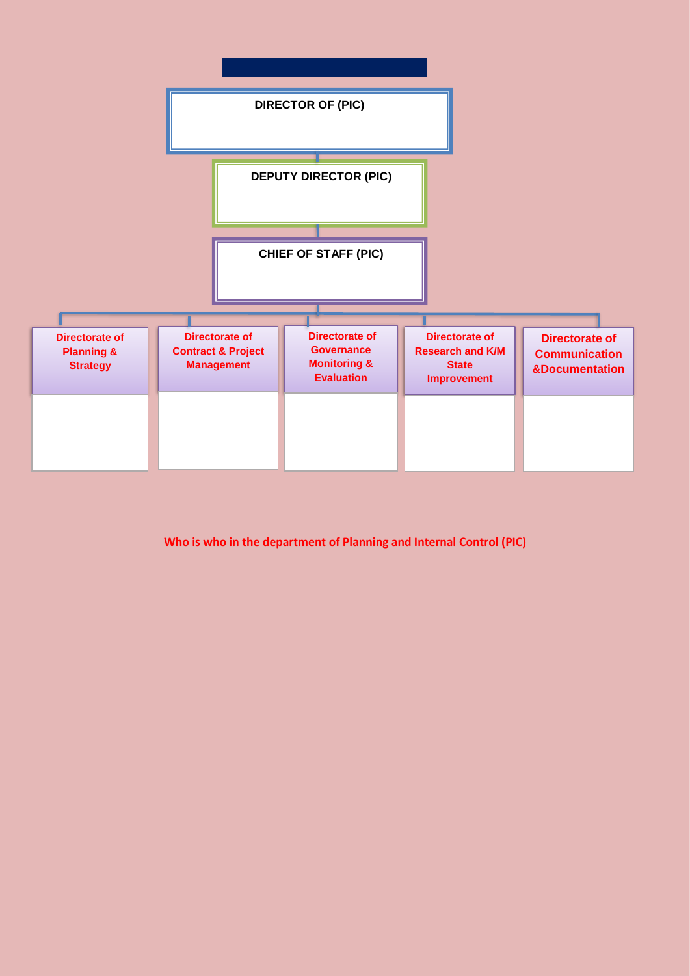

**Who is who in the department of Planning and Internal Control (PIC)**